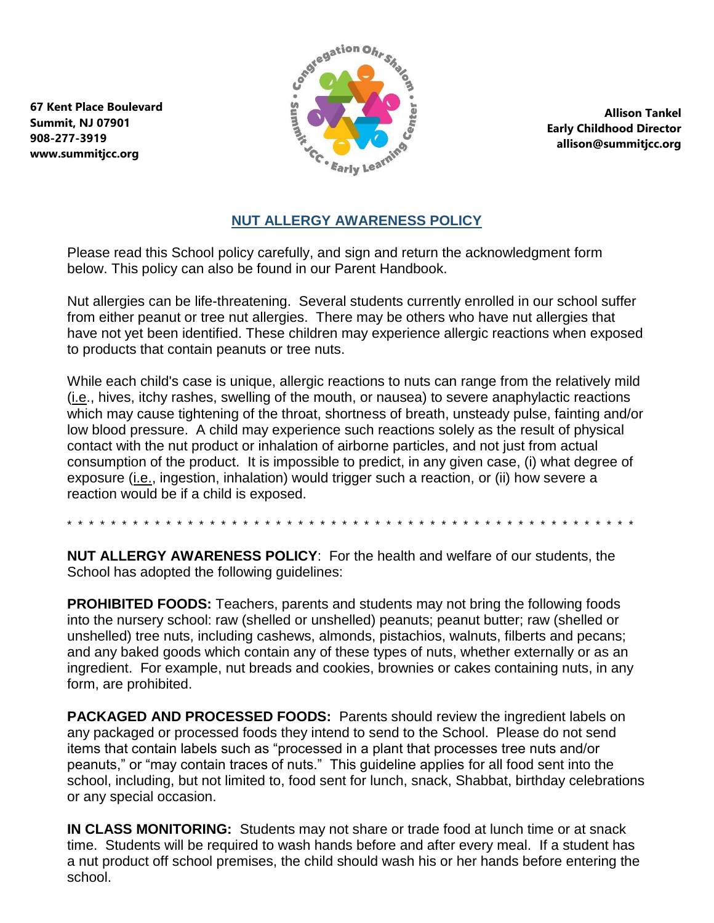**67 Kent Place Boulevard Summit, NJ 07901 908-277-3919 www.summitjcc.org**



**Allison Tankel Early Childhood Director allison@summitjcc.org**

## **NUT ALLERGY AWARENESS POLICY**

Please read this School policy carefully, and sign and return the acknowledgment form below. This policy can also be found in our Parent Handbook.

Nut allergies can be life-threatening. Several students currently enrolled in our school suffer from either peanut or tree nut allergies. There may be others who have nut allergies that have not yet been identified. These children may experience allergic reactions when exposed to products that contain peanuts or tree nuts.

While each child's case is unique, allergic reactions to nuts can range from the relatively mild (i.e., hives, itchy rashes, swelling of the mouth, or nausea) to severe anaphylactic reactions which may cause tightening of the throat, shortness of breath, unsteady pulse, fainting and/or low blood pressure. A child may experience such reactions solely as the result of physical contact with the nut product or inhalation of airborne particles, and not just from actual consumption of the product. It is impossible to predict, in any given case, (i) what degree of exposure (i.e., ingestion, inhalation) would trigger such a reaction, or (ii) how severe a reaction would be if a child is exposed.

\* \* \* \* \* \* \* \* \* \* \* \* \* \* \* \* \* \* \* \* \* \* \* \* \* \* \* \* \* \* \* \* \* \* \* \* \* \* \* \* \* \* \* \* \* \* \* \* \* \* \* \*

**NUT ALLERGY AWARENESS POLICY**: For the health and welfare of our students, the School has adopted the following guidelines:

**PROHIBITED FOODS:** Teachers, parents and students may not bring the following foods into the nursery school: raw (shelled or unshelled) peanuts; peanut butter; raw (shelled or unshelled) tree nuts, including cashews, almonds, pistachios, walnuts, filberts and pecans; and any baked goods which contain any of these types of nuts, whether externally or as an ingredient. For example, nut breads and cookies, brownies or cakes containing nuts, in any form, are prohibited.

**PACKAGED AND PROCESSED FOODS:** Parents should review the ingredient labels on any packaged or processed foods they intend to send to the School. Please do not send items that contain labels such as "processed in a plant that processes tree nuts and/or peanuts," or "may contain traces of nuts." This guideline applies for all food sent into the school, including, but not limited to, food sent for lunch, snack, Shabbat, birthday celebrations or any special occasion.

**IN CLASS MONITORING:** Students may not share or trade food at lunch time or at snack time. Students will be required to wash hands before and after every meal. If a student has a nut product off school premises, the child should wash his or her hands before entering the school.